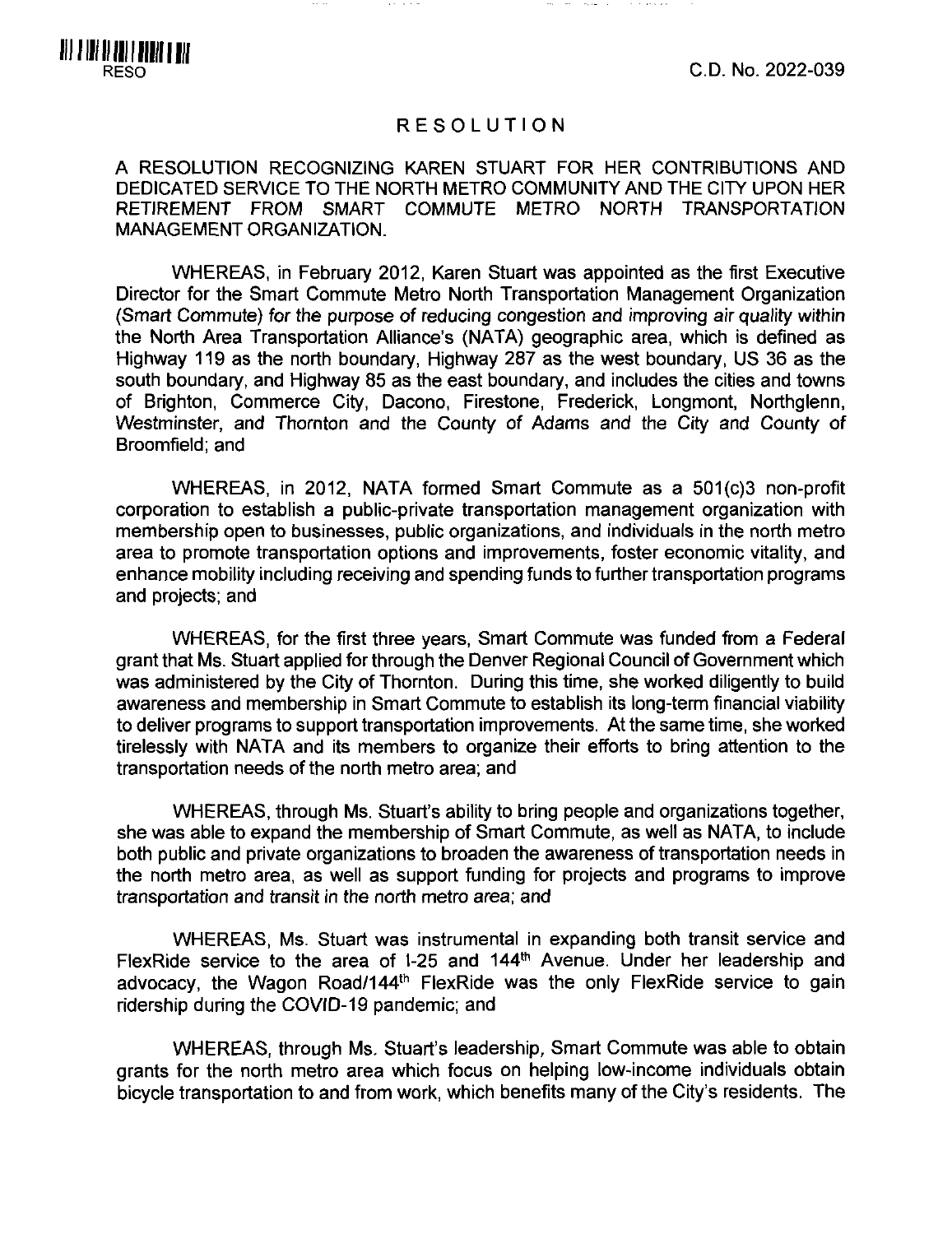RESO C.D. No. 2022-039

## RESOLUTION

A RESOLUTION RECOGNIZING KAREN STUART FOR HER CONTRIBUTIONS AND DEDICATED SERVICE TO THE NORTH METRO COMMUNITY AND THE CITY UPON HER RETIREMENT FROM SMART COMMUTE METRO NORTH TRANSPORTATION MANAGEMENT ORGANIZATION.

WHEREAS, in February 2012, Karen Stuart was appointed as the first Executive Director for the Smart Commute Metro North Transportation Management Organization (Smart Commute) for the purpose of reducing congestion and improving air quality within the North Area Transportation Alliance's (NATA) geographic area, which is defined as Highway 119 as the north boundary, Highway 287 as the west boundary, US 36 as the south boundary, and Highway 85 as the east boundary, and includes the cities and towns of Brighton, Commerce City, Dacono, Firestone. Frederick, Longmont, Northglenn, Westminster, and Thornton and the County of Adams and the City and County of Broomfield: and

WHEREAS, in 2012, NATA formed Smart Commute as a 501(c)3 non-profit corporation to establish a public-private transportation management organization with membership open to businesses, public organizations, and individuals in the north metro area to promote transportation options and improvements, foster economic vitality, and enhance mobility including receiving and spending funds to further transportation programs and projects; and

WHEREAS, for the first three years. Smart Commute was funded from a Federal grant that Ms. Stuart applied for through the Denver Regional Council of Government which was administered by the City of Thornton. During this time, she worked diligently to build awareness and membership in Smart Commute to establish its long-term financial viability to deliver programs to support transportation improvements. At the same time, she worked tirelessly with NATA and its members to organize their efforts to bring attention to the transportation needs of the north metro area; and

WHEREAS, through Ms. Stuart's ability to bring people and organizations together, she was able to expand the membership of Smart Commute, as well as NATA, to include both public and private organizations to broaden the awareness of transportation needs in the north metro area, as well as support funding for projects and programs to improve transportation and transit in the north metro area; and

WHEREAS, Ms. Stuart was instrumental in expanding both transit service and FlexRide service to the area of 1-25 and 144<sup>th</sup> Avenue. Under her leadership and advocacy, the Wagon Road/144<sup>th</sup> FlexRide was the only FlexRide service to gain ridership during the COVID-19 pandemic; and

WHEREAS, through Ms. Stuart's leadership, Smart Commute was able to obtain grants for the north metro area which focus on helping low-income individuals obtain bicycle transportation to and from work, which benefits many of the City's residents. The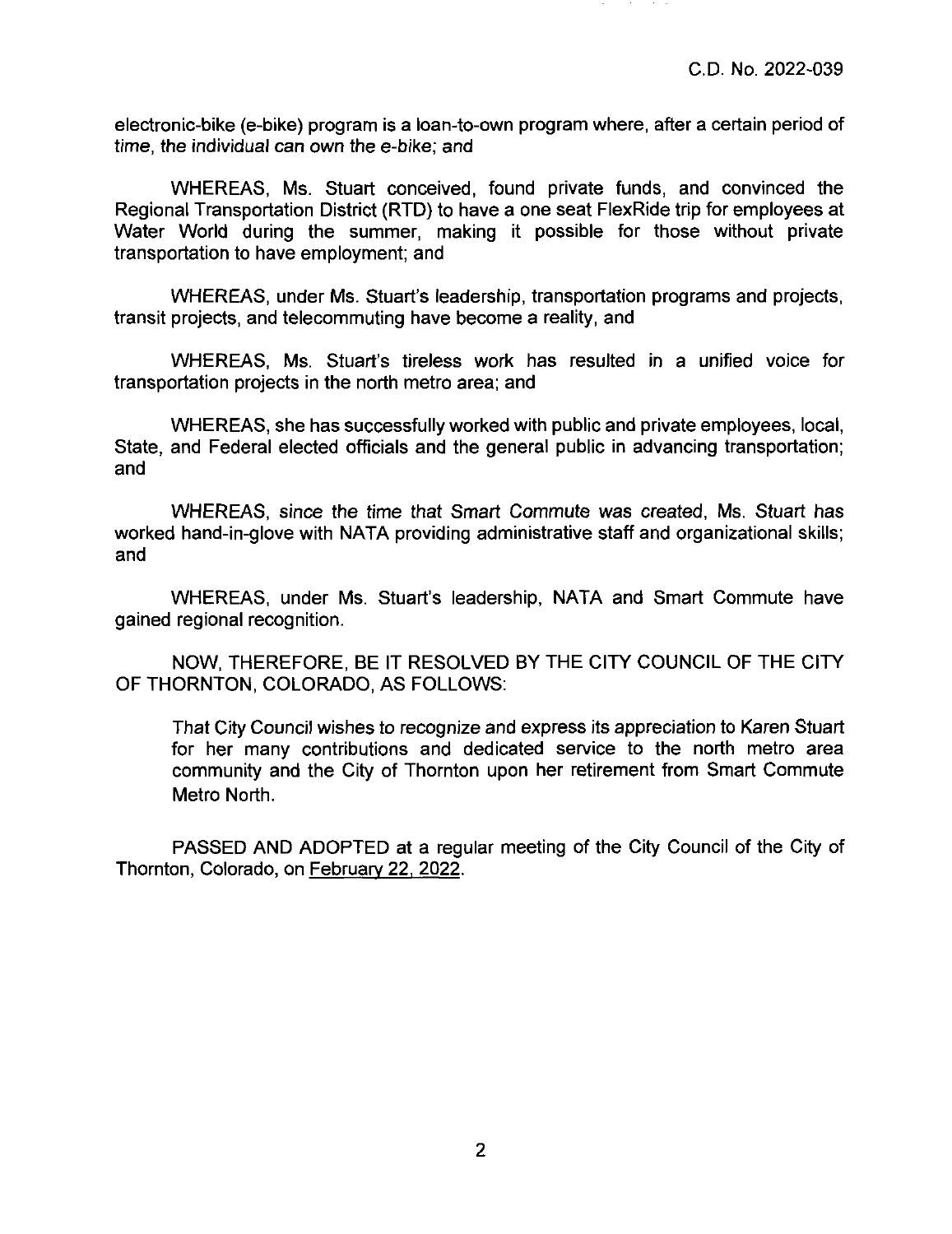electronic-bike (e-bike) program is a loan-to-own program where, after a certain period of time, the individual can own the e-bike; and

WHEREAS, Ms. Stuart conceived, found private funds, and convinced the Regional Transportation District (RTD) to have a one seat FlexRide trip for employees at Water World during the summer, making it possible for those without private transportation to have employment; and

WHEREAS, under Ms. Stuart's leadership, transportation programs and projects, transit projects, and telecommuting have become a reality, and

WHEREAS, Ms. Stuart's tireless work has resulted in a unified voice for transportation projects in the north metro area; and

WHEREAS, she has successfully worked with public and private employees, local. State, and Federal elected officials and the general public in advancing transportation; and

WHEREAS, since the time that Smart Commute was created, Ms. Stuart has worked hand-in-glove with NATA providing administrative staff and organizational skills; and

WHEREAS, under Ms. Stuart's leadership, NATA and Smart Commute have gained regional recognition.

NOW, THEREFORE, BE IT RESOLVED BY THE CITY COUNCIL OF THE CITY OF THORNTON, COLORADO, AS FOLLOWS:

That City Council wishes to recognize and express its appreciation to Karen Stuart for her many contributions and dedicated service to the north metro area community and the City of Thornton upon her retirement from Smart Commute Metro North.

PASSED AND ADOPTED at a regular meeting of the City Council of the City of Thornton, Colorado, on February 22. 2022.